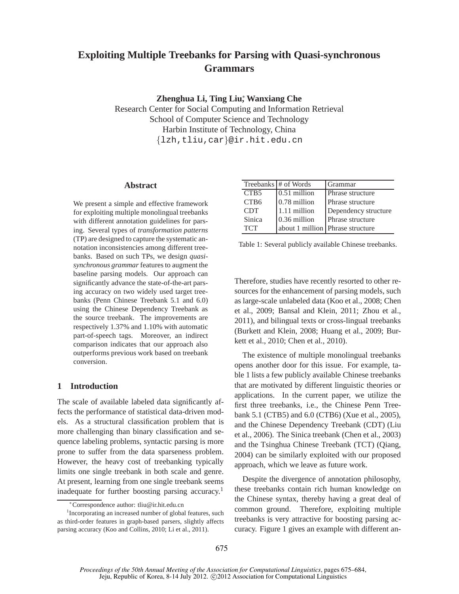# **Exploiting Multiple Treebanks for Parsing with Quasi-synchronous Grammars**

**Zhenghua Li, Ting Liu**<sup>∗</sup> **, Wanxiang Che**

Research Center for Social Computing and Information Retrieval School of Computer Science and Technology Harbin Institute of Technology, China {lzh,tliu,car}@ir.hit.edu.cn

# **Abstract**

We present a simple and effective framework for exploiting multiple monolingual treebanks with different annotation guidelines for parsing. Several types of *transformation patterns* (TP) are designed to capture the systematic annotation inconsistencies among different treebanks. Based on such TPs, we design *quasisynchronous grammar* features to augment the baseline parsing models. Our approach can significantly advance the state-of-the-art parsing accuracy on two widely used target treebanks (Penn Chinese Treebank 5.1 and 6.0) using the Chinese Dependency Treebank as the source treebank. The improvements are respectively 1.37% and 1.10% with automatic part-of-speech tags. Moreover, an indirect comparison indicates that our approach also outperforms previous work based on treebank conversion.

# **1 Introduction**

The scale of available labeled data significantly affects the performance of statistical data-driven models. As a structural classification problem that is more challenging than binary classification and sequence labeling problems, syntactic parsing is more prone to suffer from the data sparseness problem. However, the heavy cost of treebanking typically limits one single treebank in both scale and genre. At present, learning from one single treebank seems inadequate for further boosting parsing accuracy.<sup>1</sup>

|                  | Treebanks # of Words | Grammar                          |
|------------------|----------------------|----------------------------------|
| CTB <sub>5</sub> | 0.51 million         | Phrase structure                 |
| CTB <sub>6</sub> | 0.78 million         | Phrase structure                 |
| <b>CDT</b>       | 1.11 million         | Dependency structure             |
| Sinica           | 0.36 million         | Phrase structure                 |
| <b>TCT</b>       |                      | about 1 million Phrase structure |

Table 1: Several publicly available Chinese treebanks.

Therefore, studies have recently resorted to other resources for the enhancement of parsing models, such as large-scale unlabeled data (Koo et al., 2008; Chen et al., 2009; Bansal and Klein, 2011; Zhou et al., 2011), and bilingual texts or cross-lingual treebanks (Burkett and Klein, 2008; Huang et al., 2009; Burkett et al., 2010; Chen et al., 2010).

The existence of multiple monolingual treebanks opens another door for this issue. For example, table 1 lists a few publicly available Chinese treebanks that are motivated by different linguistic theories or applications. In the current paper, we utilize the first three treebanks, i.e., the Chinese Penn Treebank 5.1 (CTB5) and 6.0 (CTB6) (Xue et al., 2005), and the Chinese Dependency Treebank (CDT) (Liu et al., 2006). The Sinica treebank (Chen et al., 2003) and the Tsinghua Chinese Treebank (TCT) (Qiang, 2004) can be similarly exploited with our proposed approach, which we leave as future work.

Despite the divergence of annotation philosophy, these treebanks contain rich human knowledge on the Chinese syntax, thereby having a great deal of common ground. Therefore, exploiting multiple treebanks is very attractive for boosting parsing accuracy. Figure 1 gives an example with different an-

<sup>∗</sup>Correspondence author: tliu@ir.hit.edu.cn

<sup>&</sup>lt;sup>1</sup> Incorporating an increased number of global features, such as third-order features in graph-based parsers, slightly affects parsing accuracy (Koo and Collins, 2010; Li et al., 2011).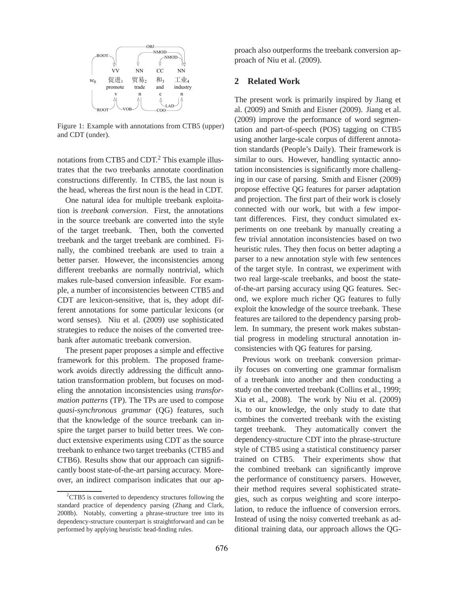

Figure 1: Example with annotations from CTB5 (upper) and CDT (under).

notations from CTB5 and CDT.<sup>2</sup> This example illustrates that the two treebanks annotate coordination constructions differently. In CTB5, the last noun is the head, whereas the first noun is the head in CDT.

One natural idea for multiple treebank exploitation is *treebank conversion*. First, the annotations in the source treebank are converted into the style of the target treebank. Then, both the converted treebank and the target treebank are combined. Finally, the combined treebank are used to train a better parser. However, the inconsistencies among different treebanks are normally nontrivial, which makes rule-based conversion infeasible. For example, a number of inconsistencies between CTB5 and CDT are lexicon-sensitive, that is, they adopt different annotations for some particular lexicons (or word senses). Niu et al. (2009) use sophisticated strategies to reduce the noises of the converted treebank after automatic treebank conversion.

The present paper proposes a simple and effective framework for this problem. The proposed framework avoids directly addressing the difficult annotation transformation problem, but focuses on modeling the annotation inconsistencies using *transformation patterns* (TP). The TPs are used to compose *quasi-synchronous grammar* (QG) features, such that the knowledge of the source treebank can inspire the target parser to build better trees. We conduct extensive experiments using CDT as the source treebank to enhance two target treebanks (CTB5 and CTB6). Results show that our approach can significantly boost state-of-the-art parsing accuracy. Moreover, an indirect comparison indicates that our approach also outperforms the treebank conversion approach of Niu et al. (2009).

## **2 Related Work**

The present work is primarily inspired by Jiang et al. (2009) and Smith and Eisner (2009). Jiang et al. (2009) improve the performance of word segmentation and part-of-speech (POS) tagging on CTB5 using another large-scale corpus of different annotation standards (People's Daily). Their framework is similar to ours. However, handling syntactic annotation inconsistencies is significantly more challenging in our case of parsing. Smith and Eisner (2009) propose effective QG features for parser adaptation and projection. The first part of their work is closely connected with our work, but with a few important differences. First, they conduct simulated experiments on one treebank by manually creating a few trivial annotation inconsistencies based on two heuristic rules. They then focus on better adapting a parser to a new annotation style with few sentences of the target style. In contrast, we experiment with two real large-scale treebanks, and boost the stateof-the-art parsing accuracy using QG features. Second, we explore much richer QG features to fully exploit the knowledge of the source treebank. These features are tailored to the dependency parsing problem. In summary, the present work makes substantial progress in modeling structural annotation inconsistencies with QG features for parsing.

Previous work on treebank conversion primarily focuses on converting one grammar formalism of a treebank into another and then conducting a study on the converted treebank (Collins et al., 1999; Xia et al., 2008). The work by Niu et al. (2009) is, to our knowledge, the only study to date that combines the converted treebank with the existing target treebank. They automatically convert the dependency-structure CDT into the phrase-structure style of CTB5 using a statistical constituency parser trained on CTB5. Their experiments show that the combined treebank can significantly improve the performance of constituency parsers. However, their method requires several sophisticated strategies, such as corpus weighting and score interpolation, to reduce the influence of conversion errors. Instead of using the noisy converted treebank as additional training data, our approach allows the QG-

 ${}^{2}$ CTB5 is converted to dependency structures following the standard practice of dependency parsing (Zhang and Clark, 2008b). Notably, converting a phrase-structure tree into its dependency-structure counterpart is straightforward and can be performed by applying heuristic head-finding rules.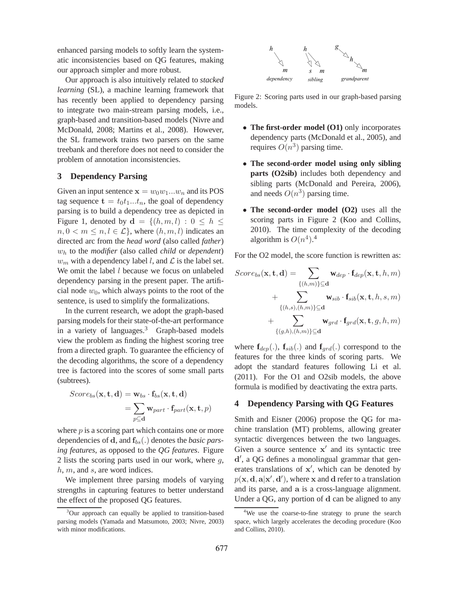enhanced parsing models to softly learn the systematic inconsistencies based on QG features, making our approach simpler and more robust.

Our approach is also intuitively related to *stacked learning* (SL), a machine learning framework that has recently been applied to dependency parsing to integrate two main-stream parsing models, i.e., graph-based and transition-based models (Nivre and McDonald, 2008; Martins et al., 2008). However, the SL framework trains two parsers on the same treebank and therefore does not need to consider the problem of annotation inconsistencies.

# **3 Dependency Parsing**

Given an input sentence  $\mathbf{x} = w_0w_1...w_n$  and its POS tag sequence  $\mathbf{t} = t_0 t_1...t_n$ , the goal of dependency parsing is to build a dependency tree as depicted in Figure 1, denoted by  $\mathbf{d} = \{(h, m, l) : 0 \leq h \leq$  $n, 0 < m \leq n, l \in \mathcal{L}$ , where  $(h, m, l)$  indicates an directed arc from the *head word* (also called *father*) w<sup>h</sup> to the *modifier* (also called *child* or *dependent*)  $w_m$  with a dependency label l, and  $\mathcal L$  is the label set. We omit the label  $l$  because we focus on unlabeled dependency parsing in the present paper. The artificial node  $w_0$ , which always points to the root of the sentence, is used to simplify the formalizations.

In the current research, we adopt the graph-based parsing models for their state-of-the-art performance in a variety of languages.<sup>3</sup> Graph-based models view the problem as finding the highest scoring tree from a directed graph. To guarantee the efficiency of the decoding algorithms, the score of a dependency tree is factored into the scores of some small parts (subtrees).

$$
Score_{bs}(\mathbf{x}, \mathbf{t}, \mathbf{d}) = \mathbf{w}_{bs} \cdot \mathbf{f}_{bs}(\mathbf{x}, \mathbf{t}, \mathbf{d})
$$
  
= 
$$
\sum_{p \subseteq \mathbf{d}} \mathbf{w}_{part} \cdot \mathbf{f}_{part}(\mathbf{x}, \mathbf{t}, p)
$$

where  $p$  is a scoring part which contains one or more dependencies of **d**, and  $f_{bs}(.)$  denotes the *basic parsing features*, as opposed to the *QG features*. Figure 2 lists the scoring parts used in our work, where  $q$ , h, m, and s, are word indices.

We implement three parsing models of varying strengths in capturing features to better understand the effect of the proposed QG features.



Figure 2: Scoring parts used in our graph-based parsing models.

- **The first-order model (O1)** only incorporates dependency parts (McDonald et al., 2005), and requires  $O(n^3)$  parsing time.
- **The second-order model using only sibling parts (O2sib)** includes both dependency and sibling parts (McDonald and Pereira, 2006), and needs  $O(n^3)$  parsing time.
- **The second-order model (O2)** uses all the scoring parts in Figure 2 (Koo and Collins, 2010). The time complexity of the decoding algorithm is  $O(n^4)$ .<sup>4</sup>

For the O2 model, the score function is rewritten as:

$$
Score_{bs}(\mathbf{x}, \mathbf{t}, \mathbf{d}) = \sum_{\{(h,m)\}\subseteq \mathbf{d}} \mathbf{w}_{dep} \cdot \mathbf{f}_{dep}(\mathbf{x}, \mathbf{t}, h, m) + \sum_{\{(h,s),(h,m)\}\subseteq \mathbf{d}} \mathbf{w}_{sib} \cdot \mathbf{f}_{sib}(\mathbf{x}, \mathbf{t}, h, s, m) + \sum_{\{(g,h),(h,m)\}\subseteq \mathbf{d}} \mathbf{w}_{grd} \cdot \mathbf{f}_{grd}(\mathbf{x}, \mathbf{t}, g, h, m)
$$

where  $\mathbf{f}_{dep}(.)$ ,  $\mathbf{f}_{sib}(.)$  and  $\mathbf{f}_{qrd}(.)$  correspond to the features for the three kinds of scoring parts. We adopt the standard features following Li et al. (2011). For the O1 and O2sib models, the above formula is modified by deactivating the extra parts.

# **4 Dependency Parsing with QG Features**

Smith and Eisner (2006) propose the QG for machine translation (MT) problems, allowing greater syntactic divergences between the two languages. Given a source sentence  $x'$  and its syntactic tree d ′ , a QG defines a monolingual grammar that generates translations of x', which can be denoted by  $p(\mathbf{x}, \mathbf{d}, \mathbf{a} | \mathbf{x}', \mathbf{d}'),$  where x and d refer to a translation and its parse, and a is a cross-language alignment. Under a QG, any portion of d can be aligned to any

<sup>&</sup>lt;sup>3</sup>Our approach can equally be applied to transition-based parsing models (Yamada and Matsumoto, 2003; Nivre, 2003) with minor modifications.

<sup>&</sup>lt;sup>4</sup>We use the coarse-to-fine strategy to prune the search space, which largely accelerates the decoding procedure (Koo and Collins, 2010).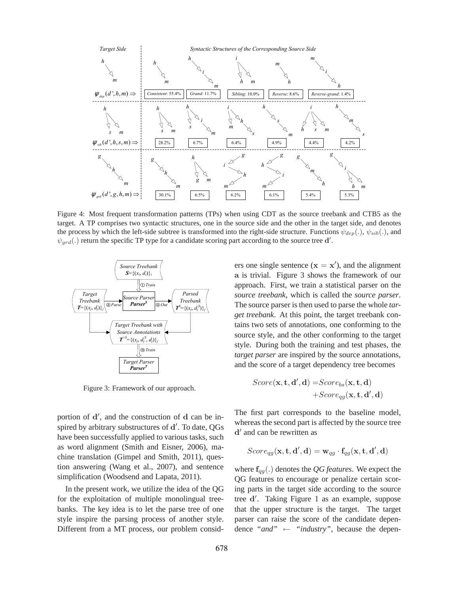

Figure 4: Most frequent transformation patterns (TPs) when using CDT as the source treebank and CTB5 as the target. A TP comprises two syntactic structures, one in the source side and the other in the target side, and denotes the process by which the left-side subtree is transformed into the right-side structure. Functions  $\psi_{dep}(.)$ ,  $\psi_{sib}(.)$ , and  $\psi_{grd}$ (.) return the specific TP type for a candidate scoring part according to the source tree d'.



Figure 3: Framework of our approach.

portion of d', and the construction of d can be inspired by arbitrary substructures of d'. To date, QGs have been successfully applied to various tasks, such as word alignment (Smith and Eisner, 2006), machine translation (Gimpel and Smith, 2011), question answering (Wang et al., 2007), and sentence simplification (Woodsend and Lapata, 2011).

In the present work, we utilize the idea of the QG for the exploitation of multiple monolingual treebanks. The key idea is to let the parse tree of one style inspire the parsing process of another style. Different from a MT process, our problem consid-

ers one single sentence  $(x = x')$ , and the alignment a is trivial. Figure 3 shows the framework of our approach. First, we train a statistical parser on the *source treebank*, which is called the *source parser*. The source parser is then used to parse the whole *target treebank*. At this point, the target treebank contains two sets of annotations, one conforming to the source style, and the other conforming to the target style. During both the training and test phases, the *target parser* are inspired by the source annotations, and the score of a target dependency tree becomes

$$
\begin{aligned} \textit{Score}(\mathbf{x}, \mathbf{t}, \mathbf{d}', \mathbf{d}) = \textit{Score}_{\textit{bs}}(\mathbf{x}, \mathbf{t}, \mathbf{d}) \\ + \textit{Score}_{\textit{gg}}(\mathbf{x}, \mathbf{t}, \mathbf{d}', \mathbf{d}) \end{aligned}
$$

The first part corresponds to the baseline model, whereas the second part is affected by the source tree d ′ and can be rewritten as

$$
Score_{qg}(\mathbf{x}, \mathbf{t}, \mathbf{d}', \mathbf{d}) = \mathbf{w}_{qg} \cdot \mathbf{f}_{qg}(\mathbf{x}, \mathbf{t}, \mathbf{d}', \mathbf{d})
$$

where fqg(.) denotes the *QG features*. We expect the QG features to encourage or penalize certain scoring parts in the target side according to the source tree d'. Taking Figure 1 as an example, suppose that the upper structure is the target. The target parser can raise the score of the candidate dependence *"and"* ← *"industry"*, because the depen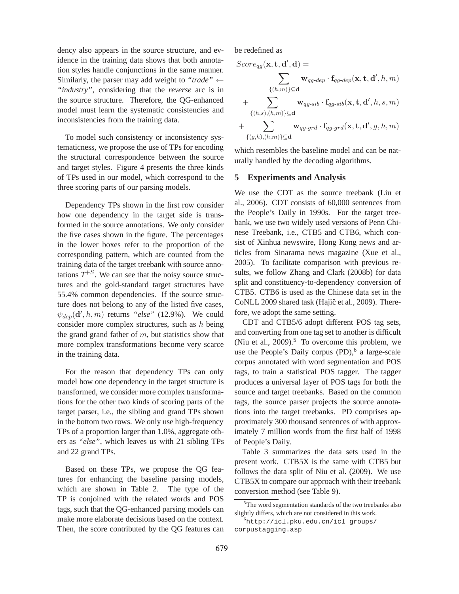dency also appears in the source structure, and evidence in the training data shows that both annotation styles handle conjunctions in the same manner. Similarly, the parser may add weight to "trade"  $\leftarrow$ *"industry"*, considering that the *reverse* arc is in the source structure. Therefore, the QG-enhanced model must learn the systematic consistencies and inconsistencies from the training data.

To model such consistency or inconsistency systematicness, we propose the use of TPs for encoding the structural correspondence between the source and target styles. Figure 4 presents the three kinds of TPs used in our model, which correspond to the three scoring parts of our parsing models.

Dependency TPs shown in the first row consider how one dependency in the target side is transformed in the source annotations. We only consider the five cases shown in the figure. The percentages in the lower boxes refer to the proportion of the corresponding pattern, which are counted from the training data of the target treebank with source annotations  $T^{+S}$ . We can see that the noisy source structures and the gold-standard target structures have 55.4% common dependencies. If the source structure does not belong to any of the listed five cases,  $\psi_{dep}(\mathbf{d}', h, m)$  returns *"else"* (12.9%). We could consider more complex structures, such as  $h$  being the grand grand father of  $m$ , but statistics show that more complex transformations become very scarce in the training data.

For the reason that dependency TPs can only model how one dependency in the target structure is transformed, we consider more complex transformations for the other two kinds of scoring parts of the target parser, i.e., the sibling and grand TPs shown in the bottom two rows. We only use high-frequency TPs of a proportion larger than 1.0%, aggregate others as *"else"*, which leaves us with 21 sibling TPs and 22 grand TPs.

Based on these TPs, we propose the QG features for enhancing the baseline parsing models, which are shown in Table 2. The type of the TP is conjoined with the related words and POS tags, such that the QG-enhanced parsing models can make more elaborate decisions based on the context. Then, the score contributed by the QG features can be redefined as

$$
\begin{aligned} Score_{qg}(\mathbf{x}, \mathbf{t}, \mathbf{d}', \mathbf{d}) & = \\ & \sum_{\{(h, m)\} \subseteq \mathbf{d}} \mathbf{w}_{qg \text{-}dep} \cdot \mathbf{f}_{qg \text{-}dep}(\mathbf{x}, \mathbf{t}, \mathbf{d}', h, m) \\ & + \sum_{\{(h, s), (h, m)\} \subseteq \mathbf{d}} \mathbf{w}_{qg \text{-}sib} \cdot \mathbf{f}_{qg \text{-}sib}(\mathbf{x}, \mathbf{t}, \mathbf{d}', h, s, m) \\ & + \sum_{\{(g, h), (h, m)\} \subseteq \mathbf{d}} \mathbf{w}_{qg \text{-}grd} \cdot \mathbf{f}_{qg \text{-}grd}(\mathbf{x}, \mathbf{t}, \mathbf{d}', g, h, m) \end{aligned}
$$

which resembles the baseline model and can be naturally handled by the decoding algorithms.

# **5 Experiments and Analysis**

We use the CDT as the source treebank (Liu et al., 2006). CDT consists of 60,000 sentences from the People's Daily in 1990s. For the target treebank, we use two widely used versions of Penn Chinese Treebank, i.e., CTB5 and CTB6, which consist of Xinhua newswire, Hong Kong news and articles from Sinarama news magazine (Xue et al., 2005). To facilitate comparison with previous results, we follow Zhang and Clark (2008b) for data split and constituency-to-dependency conversion of CTB5. CTB6 is used as the Chinese data set in the CoNLL 2009 shared task (Hajič et al., 2009). Therefore, we adopt the same setting.

CDT and CTB5/6 adopt different POS tag sets, and converting from one tag set to another is difficult (Niu et al., 2009).<sup>5</sup> To overcome this problem, we use the People's Daily corpus (PD),<sup>6</sup> a large-scale corpus annotated with word segmentation and POS tags, to train a statistical POS tagger. The tagger produces a universal layer of POS tags for both the source and target treebanks. Based on the common tags, the source parser projects the source annotations into the target treebanks. PD comprises approximately 300 thousand sentences of with approximately 7 million words from the first half of 1998 of People's Daily.

Table 3 summarizes the data sets used in the present work. CTB5X is the same with CTB5 but follows the data split of Niu et al. (2009). We use CTB5X to compare our approach with their treebank conversion method (see Table 9).

<sup>&</sup>lt;sup>5</sup>The word segmentation standards of the two treebanks also slightly differs, which are not considered in this work.

<sup>6</sup>http://icl.pku.edu.cn/icl\_groups/ corpustagging.asp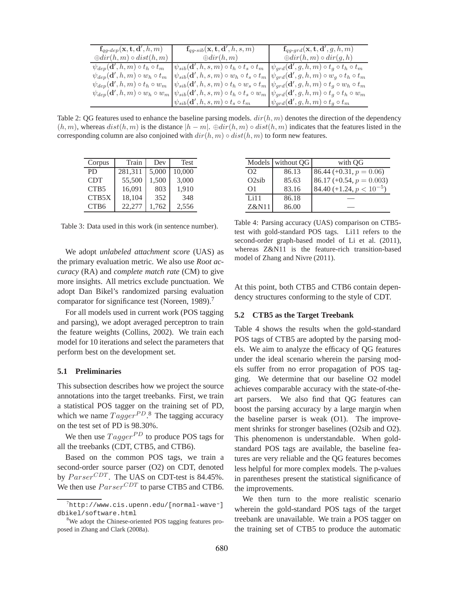| $\mathbf{f}_{qg\text{-}dep}(\mathbf{x}, \mathbf{t}, \mathbf{d}', h, m)$ | $\mathbf{f}_{qg\text{-}sib}(\mathbf{x},\mathbf{t},\mathbf{d}',h,s,m)$                                                               | $\mathbf{f}_{q q\text{-}grd}(\mathbf{x}, \mathbf{t}, \mathbf{d}', g, h, m)$                                                                                                           |
|-------------------------------------------------------------------------|-------------------------------------------------------------------------------------------------------------------------------------|---------------------------------------------------------------------------------------------------------------------------------------------------------------------------------------|
| $\bigoplus dir(h,m) \circ dist(h,m)$                                    | $\oplus dir(h,m)$                                                                                                                   | $\bigoplus dir(h,m) \circ dir(g,h)$                                                                                                                                                   |
| $\psi_{dep}(\mathbf{d}',h,m) \circ t_h \circ t_m$                       | $\mid \psi_{sib}(\mathbf{d}',h,s,m) \circ t_h \circ t_s \circ t_m \mid \psi_{grd}(\mathbf{d}',g,h,m) \circ t_g \circ t_h \circ t_m$ |                                                                                                                                                                                       |
| $\psi_{dep}(\mathbf{d}',h,m) \circ w_h \circ t_m$                       |                                                                                                                                     | $\psi_{sib}(\mathbf{d}',h,s,m) \circ w_h \circ t_s \circ t_m \psi_{grd}(\mathbf{d}',g,h,m) \circ w_g \circ t_h \circ t_m$                                                             |
| $\psi_{dep}(\mathbf{d}', h, m) \circ t_h \circ w_m$                     |                                                                                                                                     | $\int \psi_{sib}(\mathbf{d}',h,s,m) \circ t_h \circ w_s \circ t_m \int \psi_{grd}(\mathbf{d}',g,h,m) \circ t_g \circ w_h \circ t_m$                                                   |
|                                                                         |                                                                                                                                     | $\psi_{dep}(\mathbf{d}',h,m) \circ w_h \circ w_m \circ \psi_{sib}(\mathbf{d}',h,s,m) \circ t_h \circ t_s \circ w_m \circ \psi_{grd}(\mathbf{d}',g,h,m) \circ t_g \circ t_h \circ w_m$ |
|                                                                         | $\psi_{sib}(\mathbf{d}',h,s,m) \circ t_s \circ t_m$                                                                                 | $\psi_{grd}(\mathbf{d}',g,h,m) \circ t_g \circ t_m$                                                                                                                                   |

Table 2: QG features used to enhance the baseline parsing models.  $dir(h, m)$  denotes the direction of the dependency  $(h, m)$ , whereas  $dist(h, m)$  is the distance  $|h - m|$ .  $\oplus dir(h, m) \circ dist(h, m)$  indicates that the features listed in the corresponding column are also conjoined with  $dir(h, m) \circ dist(h, m)$  to form new features.

| Corpus           | Train   | Dev   | Test   |
|------------------|---------|-------|--------|
| P <sub>D</sub>   | 281,311 | 5,000 | 10,000 |
| <b>CDT</b>       | 55,500  | 1,500 | 3,000  |
| CTB <sub>5</sub> | 16,091  | 803   | 1,910  |
| CTB5X            | 18,104  | 352   | 348    |
| CTB <sub>6</sub> | 22,277  | 1,762 | 2,556  |

Table 3: Data used in this work (in sentence number).

We adopt *unlabeled attachment score* (UAS) as the primary evaluation metric. We also use *Root accuracy* (RA) and *complete match rate* (CM) to give more insights. All metrics exclude punctuation. We adopt Dan Bikel's randomized parsing evaluation comparator for significance test (Noreen, 1989).<sup>7</sup>

For all models used in current work (POS tagging and parsing), we adopt averaged perceptron to train the feature weights (Collins, 2002). We train each model for 10 iterations and select the parameters that perform best on the development set.

## **5.1 Preliminaries**

This subsection describes how we project the source annotations into the target treebanks. First, we train a statistical POS tagger on the training set of PD, which we name  $Tagger^{PD}$ .<sup>8</sup> The tagging accuracy on the test set of PD is 98.30%.

We then use  $Tagger^{PD}$  to produce POS tags for all the treebanks (CDT, CTB5, and CTB6).

Based on the common POS tags, we train a second-order source parser (O2) on CDT, denoted by  $Parser^{CDT}$ . The UAS on CDT-test is 84.45%. We then use  $Parser^{CDT}$  to parse CTB5 and CTB6.

|          | Models without QG | with OG                       |
|----------|-------------------|-------------------------------|
| $\Omega$ | 86.13             | $86.44 (+0.31, p = 0.06)$     |
| O2sib    | 85.63             | $86.17 (+0.54, p = 0.003)$    |
| $\Omega$ | 83.16             | 84.40 (+1.24, $p < 10^{-5}$ ) |
| Li11     | 86.18             |                               |
| Z&N11    | 86.00             |                               |

Table 4: Parsing accuracy (UAS) comparison on CTB5 test with gold-standard POS tags. Li11 refers to the second-order graph-based model of Li et al. (2011), whereas Z&N11 is the feature-rich transition-based model of Zhang and Nivre (2011).

At this point, both CTB5 and CTB6 contain dependency structures conforming to the style of CDT.

#### **5.2 CTB5 as the Target Treebank**

Table 4 shows the results when the gold-standard POS tags of CTB5 are adopted by the parsing models. We aim to analyze the efficacy of QG features under the ideal scenario wherein the parsing models suffer from no error propagation of POS tagging. We determine that our baseline O2 model achieves comparable accuracy with the state-of-theart parsers. We also find that QG features can boost the parsing accuracy by a large margin when the baseline parser is weak (O1). The improvement shrinks for stronger baselines (O2sib and O2). This phenomenon is understandable. When goldstandard POS tags are available, the baseline features are very reliable and the QG features becomes less helpful for more complex models. The p-values in parentheses present the statistical significance of the improvements.

We then turn to the more realistic scenario wherein the gold-standard POS tags of the target treebank are unavailable. We train a POS tagger on the training set of CTB5 to produce the automatic

 $^{7}$ http://www.cis.upenn.edu/[normal-wave~] dbikel/software.html

<sup>&</sup>lt;sup>8</sup>We adopt the Chinese-oriented POS tagging features proposed in Zhang and Clark (2008a).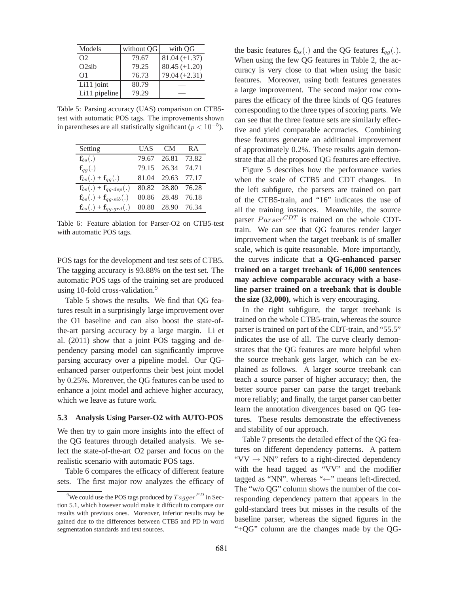| Models        | without QG | with QG         |
|---------------|------------|-----------------|
| $\Omega$      | 79.67      | $81.04 (+1.37)$ |
| O2sib         | 79.25      | $80.45 (+1.20)$ |
| $\Omega$      | 76.73      | $79.04 (+2.31)$ |
| Li11 joint    | 80.79      |                 |
| Li11 pipeline | 79.29      |                 |

Table 5: Parsing accuracy (UAS) comparison on CTB5 test with automatic POS tags. The improvements shown in parentheses are all statistically significant ( $p < 10^{-5}$ ).

| Setting                                              | UAS   | - CM              | <b>RA</b> |
|------------------------------------------------------|-------|-------------------|-----------|
| $\mathbf{f}_{bs}(.)$                                 | 79.67 | 26.81             | 73.82     |
| $\mathbf{f}_{q\bar{q}}(.)$                           | 79.15 | 26.34             | 74.71     |
| $\mathbf{f}_{bs}(.) + \mathbf{f}_{qq}(.)$            | 81.04 | 29.63 77.17       |           |
| $\mathbf{f}_{bs}(.) + \mathbf{f}_{qq\text{-}dep}(.)$ |       | 80.82 28.80 76.28 |           |
| $\mathbf{f}_{bs}(.) + \mathbf{f}_{qq-sib}(.)$        | 80.86 | 28.48 76.18       |           |
| $\mathbf{f}_{bs}(.) + \mathbf{f}_{qg\text{-}grd}(.)$ |       | 80.88 28.90       | 76.34     |

Table 6: Feature ablation for Parser-O2 on CTB5-test with automatic POS tags.

POS tags for the development and test sets of CTB5. The tagging accuracy is 93.88% on the test set. The automatic POS tags of the training set are produced using 10-fold cross-validation.<sup>9</sup>

Table 5 shows the results. We find that QG features result in a surprisingly large improvement over the O1 baseline and can also boost the state-ofthe-art parsing accuracy by a large margin. Li et al. (2011) show that a joint POS tagging and dependency parsing model can significantly improve parsing accuracy over a pipeline model. Our QGenhanced parser outperforms their best joint model by 0.25%. Moreover, the QG features can be used to enhance a joint model and achieve higher accuracy, which we leave as future work.

#### **5.3 Analysis Using Parser-O2 with AUTO-POS**

We then try to gain more insights into the effect of the QG features through detailed analysis. We select the state-of-the-art O2 parser and focus on the realistic scenario with automatic POS tags.

Table 6 compares the efficacy of different feature sets. The first major row analyzes the efficacy of the basic features  $f_{bs}(.)$  and the QG features  $f_{qa}(.)$ . When using the few QG features in Table 2, the accuracy is very close to that when using the basic features. Moreover, using both features generates a large improvement. The second major row compares the efficacy of the three kinds of QG features corresponding to the three types of scoring parts. We can see that the three feature sets are similarly effective and yield comparable accuracies. Combining these features generate an additional improvement of approximately 0.2%. These results again demonstrate that all the proposed QG features are effective.

Figure 5 describes how the performance varies when the scale of CTB5 and CDT changes. In the left subfigure, the parsers are trained on part of the CTB5-train, and "16" indicates the use of all the training instances. Meanwhile, the source parser  $Parser^{CDT}$  is trained on the whole CDTtrain. We can see that QG features render larger improvement when the target treebank is of smaller scale, which is quite reasonable. More importantly, the curves indicate that **a QG-enhanced parser trained on a target treebank of 16,000 sentences may achieve comparable accuracy with a baseline parser trained on a treebank that is double the size (32,000)**, which is very encouraging.

In the right subfigure, the target treebank is trained on the whole CTB5-train, whereas the source parser is trained on part of the CDT-train, and "55.5" indicates the use of all. The curve clearly demonstrates that the QG features are more helpful when the source treebank gets larger, which can be explained as follows. A larger source treebank can teach a source parser of higher accuracy; then, the better source parser can parse the target treebank more reliably; and finally, the target parser can better learn the annotation divergences based on QG features. These results demonstrate the effectiveness and stability of our approach.

Table 7 presents the detailed effect of the QG features on different dependency patterns. A pattern " $VV \rightarrow NN$ " refers to a right-directed dependency with the head tagged as "VV" and the modifier tagged as "NN". whereas "←" means left-directed. The "w/o QG" column shows the number of the corresponding dependency pattern that appears in the gold-standard trees but misses in the results of the baseline parser, whereas the signed figures in the "+QG" column are the changes made by the QG-

<sup>&</sup>lt;sup>9</sup>We could use the POS tags produced by  $Tagger^{PD}$  in Section 5.1, which however would make it difficult to compare our results with previous ones. Moreover, inferior results may be gained due to the differences between CTB5 and PD in word segmentation standards and text sources.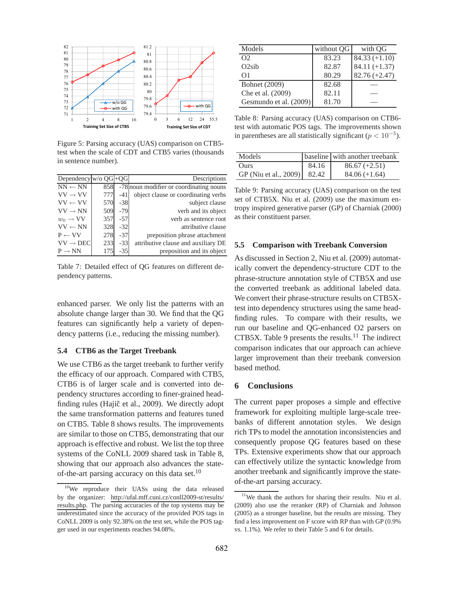

Figure 5: Parsing accuracy (UAS) comparison on CTB5 test when the scale of CDT and CTB5 varies (thousands in sentence number).

| Dependency $w/o$ OG $\left +OG\right $ |     |       | Descriptions                            |
|----------------------------------------|-----|-------|-----------------------------------------|
| $NN \leftarrow NN$                     | 858 |       | -78 noun modifier or coordinating nouns |
| $VV \rightarrow VV$                    | 777 | $-41$ | object clause or coordinating verbs     |
| $VV \leftarrow VV$                     | 570 | $-38$ | subject clause                          |
| $VV \rightarrow NN$                    | 509 | $-79$ | verb and its object                     |
| $w_0 \rightarrow VV$                   | 357 | $-57$ | verb as sentence root                   |
| $VV \leftarrow NN$                     | 328 | $-32$ | attributive clause                      |
| $P \leftarrow VV$                      | 278 | $-37$ | preposition phrase attachment           |
| $VV \rightarrow DEC$                   | 233 | $-33$ | attributive clause and auxiliary DE     |
| $P \rightarrow NN$                     | 175 | -35   | preposition and its object              |

Table 7: Detailed effect of QG features on different dependency patterns.

enhanced parser. We only list the patterns with an absolute change larger than 30. We find that the QG features can significantly help a variety of dependency patterns (i.e., reducing the missing number).

# **5.4 CTB6 as the Target Treebank**

We use CTB6 as the target treebank to further verify the efficacy of our approach. Compared with CTB5, CTB6 is of larger scale and is converted into dependency structures according to finer-grained headfinding rules (Hajič et al., 2009). We directly adopt the same transformation patterns and features tuned on CTB5. Table 8 shows results. The improvements are similar to those on CTB5, demonstrating that our approach is effective and robust. We list the top three systems of the CoNLL 2009 shared task in Table 8, showing that our approach also advances the stateof-the-art parsing accuracy on this data set.<sup>10</sup>

| Models                 | without QG | with QG         |
|------------------------|------------|-----------------|
| $\Omega$               | 83.23      | $84.33 (+1.10)$ |
| O2sib                  | 82.87      | $84.11 (+1.37)$ |
| $\Omega$               | 80.29      | $82.76 (+2.47)$ |
| Bohnet (2009)          | 82.68      |                 |
| Che et al. (2009)      | 82.11      |                 |
| Gesmundo et al. (2009) | 81.70      |                 |

Table 8: Parsing accuracy (UAS) comparison on CTB6 test with automatic POS tags. The improvements shown in parentheses are all statistically significant ( $p < 10^{-5}$ ).

| Models                        |       | baseline with another treebank |
|-------------------------------|-------|--------------------------------|
| <b>Ours</b>                   | 84.16 | $86.67 (+2.51)$                |
| GP (Niu et al., 2009)   82.42 |       | $84.06 (+1.64)$                |

Table 9: Parsing accuracy (UAS) comparison on the test set of CTB5X. Niu et al. (2009) use the maximum entropy inspired generative parser (GP) of Charniak (2000) as their constituent parser.

#### **5.5 Comparison with Treebank Conversion**

As discussed in Section 2, Niu et al. (2009) automatically convert the dependency-structure CDT to the phrase-structure annotation style of CTB5X and use the converted treebank as additional labeled data. We convert their phrase-structure results on CTB5Xtest into dependency structures using the same headfinding rules. To compare with their results, we run our baseline and QG-enhanced O2 parsers on CTB5X. Table 9 presents the results. $^{11}$  The indirect comparison indicates that our approach can achieve larger improvement than their treebank conversion based method.

## **6 Conclusions**

The current paper proposes a simple and effective framework for exploiting multiple large-scale treebanks of different annotation styles. We design rich TPs to model the annotation inconsistencies and consequently propose QG features based on these TPs. Extensive experiments show that our approach can effectively utilize the syntactic knowledge from another treebank and significantly improve the stateof-the-art parsing accuracy.

 $10$ We reproduce their UASs using the data released by the organizer: http://ufal.mff.cuni.cz/conll2009-st/results/ results.php. The parsing accuracies of the top systems may be underestimated since the accuracy of the provided POS tags in CoNLL 2009 is only 92.38% on the test set, while the POS tagger used in our experiments reaches 94.08%.

<sup>&</sup>lt;sup>11</sup>We thank the authors for sharing their results. Niu et al. (2009) also use the reranker (RP) of Charniak and Johnson (2005) as a stronger baseline, but the results are missing. They find a less improvement on F score with RP than with GP (0.9% vs. 1.1%). We refer to their Table 5 and 6 for details.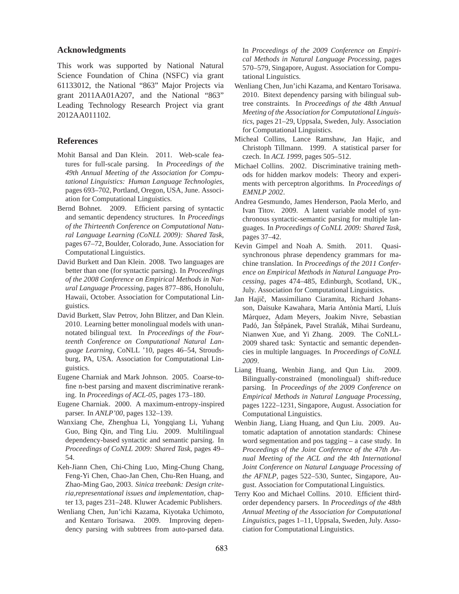## **Acknowledgments**

This work was supported by National Natural Science Foundation of China (NSFC) via grant 61133012, the National "863" Major Projects via grant 2011AA01A207, and the National "863" Leading Technology Research Project via grant 2012AA011102.

# **References**

- Mohit Bansal and Dan Klein. 2011. Web-scale features for full-scale parsing. In *Proceedings of the 49th Annual Meeting of the Association for Computational Linguistics: Human Language Technologies*, pages 693–702, Portland, Oregon, USA, June. Association for Computational Linguistics.
- Bernd Bohnet. 2009. Efficient parsing of syntactic and semantic dependency structures. In *Proceedings of the Thirteenth Conference on Computational Natural Language Learning (CoNLL 2009): Shared Task*, pages 67–72, Boulder, Colorado, June. Association for Computational Linguistics.
- David Burkett and Dan Klein. 2008. Two languages are better than one (for syntactic parsing). In *Proceedings of the 2008 Conference on Empirical Methods in Natural Language Processing*, pages 877–886, Honolulu, Hawaii, October. Association for Computational Linguistics.
- David Burkett, Slav Petrov, John Blitzer, and Dan Klein. 2010. Learning better monolingual models with unannotated bilingual text. In *Proceedings of the Fourteenth Conference on Computational Natural Language Learning*, CoNLL '10, pages 46–54, Stroudsburg, PA, USA. Association for Computational Linguistics.
- Eugene Charniak and Mark Johnson. 2005. Coarse-tofine n-best parsing and maxent discriminative reranking. In *Proceedings of ACL-05*, pages 173–180.
- Eugene Charniak. 2000. A maximum-entropy-inspired parser. In *ANLP'00*, pages 132–139.
- Wanxiang Che, Zhenghua Li, Yongqiang Li, Yuhang Guo, Bing Qin, and Ting Liu. 2009. Multilingual dependency-based syntactic and semantic parsing. In *Proceedings of CoNLL 2009: Shared Task*, pages 49– 54.
- Keh-Jiann Chen, Chi-Ching Luo, Ming-Chung Chang, Feng-Yi Chen, Chao-Jan Chen, Chu-Ren Huang, and Zhao-Ming Gao, 2003. *Sinica treebank: Design criteria,representational issues and implementation*, chapter 13, pages 231–248. Kluwer Academic Publishers.
- Wenliang Chen, Jun'ichi Kazama, Kiyotaka Uchimoto, and Kentaro Torisawa. 2009. Improving dependency parsing with subtrees from auto-parsed data.

In *Proceedings of the 2009 Conference on Empirical Methods in Natural Language Processing*, pages 570–579, Singapore, August. Association for Computational Linguistics.

- Wenliang Chen, Jun'ichi Kazama, and Kentaro Torisawa. 2010. Bitext dependency parsing with bilingual subtree constraints. In *Proceedings of the 48th Annual Meeting of the Association for Computational Linguistics*, pages 21–29, Uppsala, Sweden, July. Association for Computational Linguistics.
- Micheal Collins, Lance Ramshaw, Jan Hajic, and Christoph Tillmann. 1999. A statistical parser for czech. In *ACL 1999*, pages 505–512.
- Michael Collins. 2002. Discriminative training methods for hidden markov models: Theory and experiments with perceptron algorithms. In *Proceedings of EMNLP 2002*.
- Andrea Gesmundo, James Henderson, Paola Merlo, and Ivan Titov. 2009. A latent variable model of synchronous syntactic-semantic parsing for multiple languages. In *Proceedings of CoNLL 2009: Shared Task*, pages 37–42.
- Kevin Gimpel and Noah A. Smith. 2011. Quasisynchronous phrase dependency grammars for machine translation. In *Proceedings of the 2011 Conference on Empirical Methods in Natural Language Processing*, pages 474–485, Edinburgh, Scotland, UK., July. Association for Computational Linguistics.
- Jan Hajič, Massimiliano Ciaramita, Richard Johansson, Daisuke Kawahara, Maria Antònia Martí, Lluís Màrquez, Adam Meyers, Joakim Nivre, Sebastian Padó, Jan Štěpánek, Pavel Straňák, Mihai Surdeanu, Nianwen Xue, and Yi Zhang. 2009. The CoNLL-2009 shared task: Syntactic and semantic dependencies in multiple languages. In *Proceedings of CoNLL 2009*.
- Liang Huang, Wenbin Jiang, and Qun Liu. 2009. Bilingually-constrained (monolingual) shift-reduce parsing. In *Proceedings of the 2009 Conference on Empirical Methods in Natural Language Processing*, pages 1222–1231, Singapore, August. Association for Computational Linguistics.
- Wenbin Jiang, Liang Huang, and Qun Liu. 2009. Automatic adaptation of annotation standards: Chinese word segmentation and pos tagging – a case study. In *Proceedings of the Joint Conference of the 47th Annual Meeting of the ACL and the 4th International Joint Conference on Natural Language Processing of the AFNLP*, pages 522–530, Suntec, Singapore, August. Association for Computational Linguistics.
- Terry Koo and Michael Collins. 2010. Efficient thirdorder dependency parsers. In *Proceedings of the 48th Annual Meeting of the Association for Computational Linguistics*, pages 1–11, Uppsala, Sweden, July. Association for Computational Linguistics.